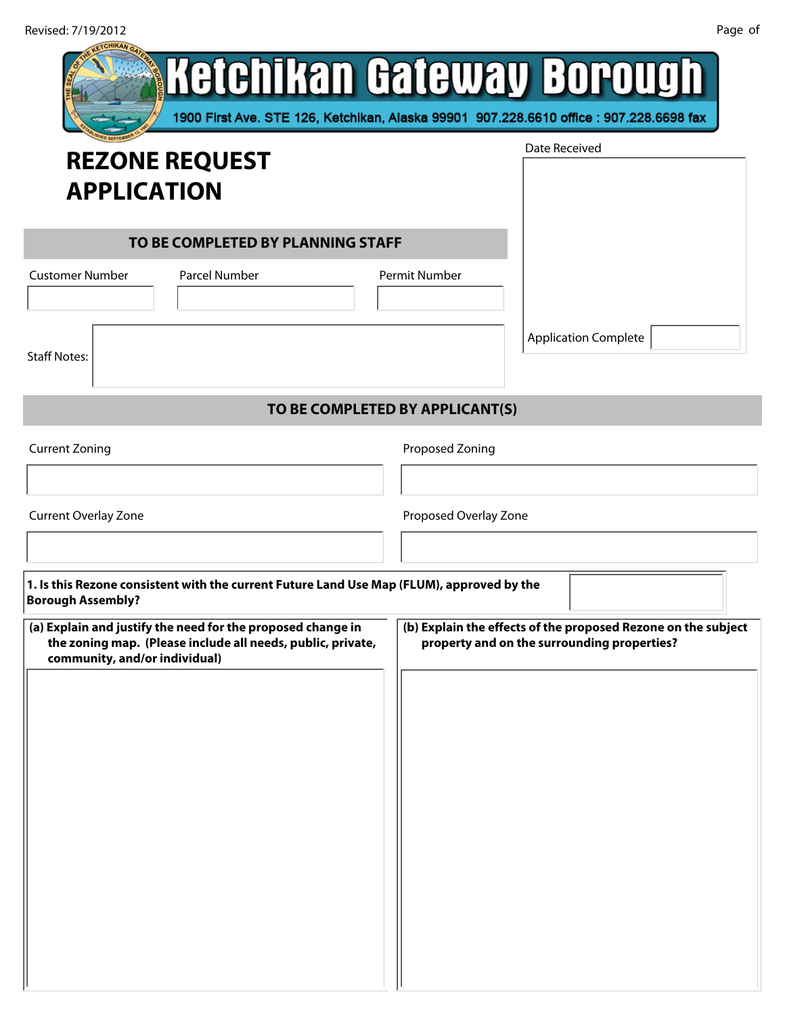| Revised: //19/2012                                                                                                                                          | raye u                                                                                                               |
|-------------------------------------------------------------------------------------------------------------------------------------------------------------|----------------------------------------------------------------------------------------------------------------------|
|                                                                                                                                                             | Ketchikan Gateway Borough<br>1900 First Ave. STE 126, Ketchikan, Alaska 99901 907.228.6610 office : 907.228.6698 fax |
| <b>REZONE REQUEST</b>                                                                                                                                       | Date Received                                                                                                        |
|                                                                                                                                                             |                                                                                                                      |
| <b>APPLICATION</b>                                                                                                                                          |                                                                                                                      |
| TO BE COMPLETED BY PLANNING STAFF                                                                                                                           |                                                                                                                      |
| <b>Customer Number</b><br><b>Parcel Number</b>                                                                                                              | Permit Number                                                                                                        |
|                                                                                                                                                             |                                                                                                                      |
|                                                                                                                                                             | <b>Application Complete</b>                                                                                          |
| <b>Staff Notes:</b>                                                                                                                                         |                                                                                                                      |
|                                                                                                                                                             |                                                                                                                      |
|                                                                                                                                                             | TO BE COMPLETED BY APPLICANT(S)                                                                                      |
| <b>Current Zoning</b>                                                                                                                                       | Proposed Zoning                                                                                                      |
| $\blacktriangledown$                                                                                                                                        | $\vert \mathbf{v} \vert$                                                                                             |
| <b>Current Overlay Zone</b>                                                                                                                                 | Proposed Overlay Zone                                                                                                |
|                                                                                                                                                             | $\left  \cdot \right $                                                                                               |
|                                                                                                                                                             |                                                                                                                      |
| 1. Is this Rezone consistent with the current Future Land Use Map (FLUM), approved by the<br><b>Borough Assembly?</b>                                       |                                                                                                                      |
| (a) Explain and justify the need for the proposed change in<br>the zoning map. (Please include all needs, public, private,<br>community, and/or individual) | (b) Explain the effects of the proposed Rezone on the subject<br>property and on the surrounding properties?         |
|                                                                                                                                                             |                                                                                                                      |
|                                                                                                                                                             |                                                                                                                      |
|                                                                                                                                                             |                                                                                                                      |
|                                                                                                                                                             |                                                                                                                      |
|                                                                                                                                                             |                                                                                                                      |
|                                                                                                                                                             |                                                                                                                      |
|                                                                                                                                                             |                                                                                                                      |
|                                                                                                                                                             |                                                                                                                      |
|                                                                                                                                                             |                                                                                                                      |
|                                                                                                                                                             |                                                                                                                      |
|                                                                                                                                                             |                                                                                                                      |
|                                                                                                                                                             |                                                                                                                      |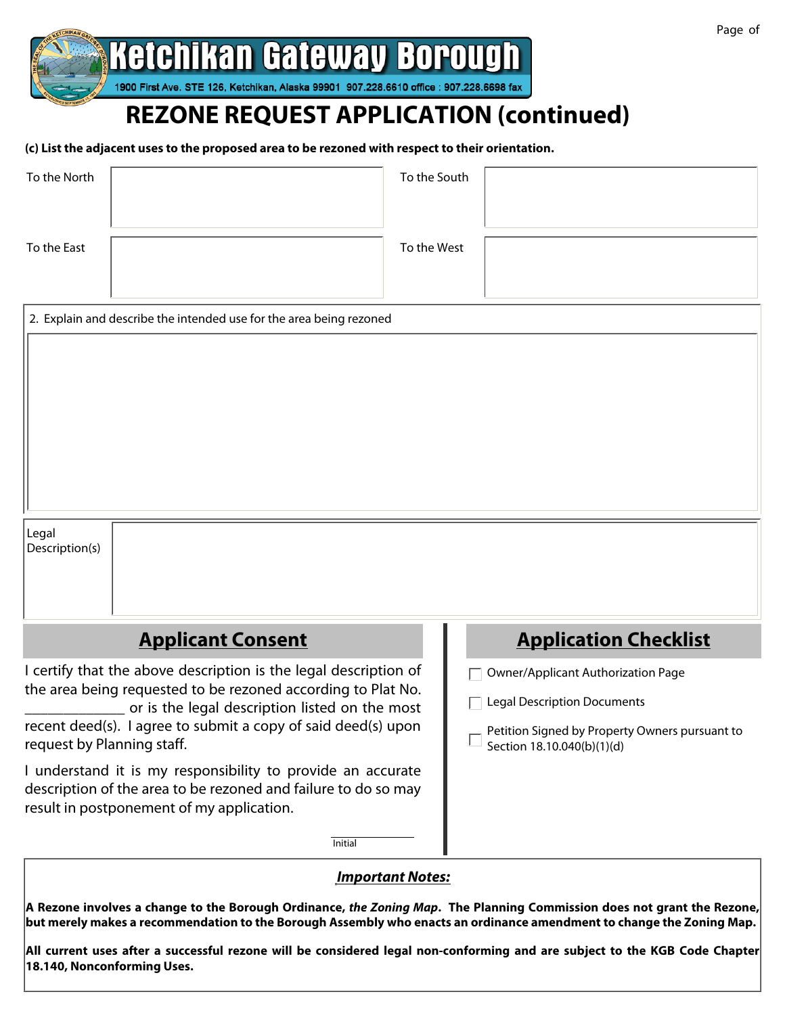

# **REZONE REQUEST APPLICATION (continued)**

(c) List the adjacent uses to the proposed area to be rezoned with respect to their orientation.

| To the North | To the South |  |
|--------------|--------------|--|
| To the East  | To the West  |  |

|                | 2. Explain and describe the intended use for the area being rezoned |                       |
|----------------|---------------------------------------------------------------------|-----------------------|
|                |                                                                     |                       |
|                |                                                                     |                       |
|                |                                                                     |                       |
|                |                                                                     |                       |
|                |                                                                     |                       |
|                |                                                                     |                       |
|                |                                                                     |                       |
|                |                                                                     |                       |
|                |                                                                     |                       |
|                |                                                                     |                       |
| Legal          |                                                                     |                       |
| Description(s) |                                                                     |                       |
|                |                                                                     |                       |
|                |                                                                     |                       |
|                |                                                                     |                       |
|                | Annlicent Concent                                                   | Annliantinn Chaeldiet |

## <u>Applicant Consent</u>

I certify that the above description is the legal description of the area being requested to be rezoned according to Plat No. or is the legal description listed on the most recent deed(s). I agree to submit a copy of said deed(s) upon request by Planning staff.

I understand it is my responsibility to provide an accurate description of the area to be rezoned and failure to do so may result in postponement of my application.

| <b>Application Checklist</b> |  |
|------------------------------|--|
|                              |  |

- □ Owner/Applicant Authorization Page
- $\Box$  Legal Description Documents
- Petition Signed by Property Owners pursuant to Section 18.10.040(b)(1)(d)

#### **Important Notes:**

**Initial** 

A Rezone involves a change to the Borough Ordinance, the Zoning Map. The Planning Commission does not grant the Rezone, but merely makes a recommendation to the Borough Assembly who enacts an ordinance amendment to change the Zoning Map.

All current uses after a successful rezone will be considered legal non-conforming and are subject to the KGB Code Chapter 18.140, Nonconforming Uses.